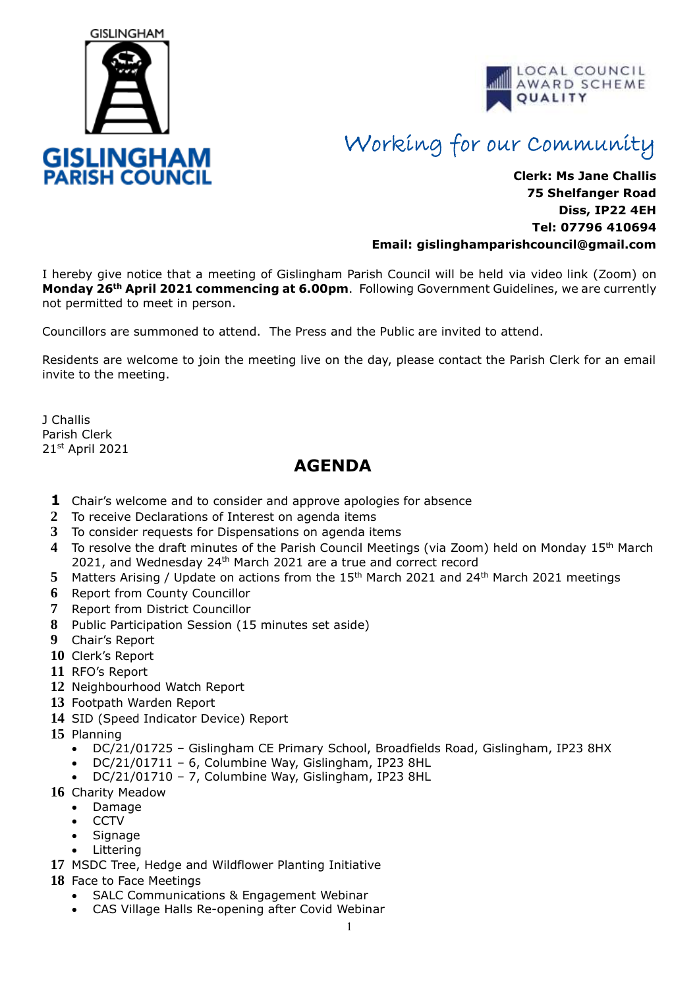



## Working for our Community

## **Clerk: Ms Jane Challis 75 Shelfanger Road Diss, IP22 4EH Tel: 07796 410694 Email: [gislinghamparishcouncil@gmail.com](mailto:gislinghamparishcouncil@gmail.com)**

I hereby give notice that a meeting of Gislingham Parish Council will be held via video link (Zoom) on **Monday 26th April 2021 commencing at 6.00pm**. Following Government Guidelines, we are currently not permitted to meet in person.

Councillors are summoned to attend. The Press and the Public are invited to attend.

Residents are welcome to join the meeting live on the day, please contact the Parish Clerk for an email invite to the meeting.

J Challis Parish Clerk 21st April 2021

## **AGENDA**

- **1** Chair's welcome and to consider and approve apologies for absence
- **2** To receive Declarations of Interest on agenda items
- **3** To consider requests for Dispensations on agenda items
- **4** To resolve the draft minutes of the Parish Council Meetings (via Zoom) held on Monday 15th March 2021, and Wednesday 24<sup>th</sup> March 2021 are a true and correct record
- 5 Matters Arising / Update on actions from the 15<sup>th</sup> March 2021 and 24<sup>th</sup> March 2021 meetings
- **6** Report from County Councillor
- **7** Report from District Councillor
- **8** Public Participation Session (15 minutes set aside)
- **9** Chair's Report
- **10** Clerk's Report
- **11** RFO's Report
- **12** Neighbourhood Watch Report
- **13** Footpath Warden Report
- **14** SID (Speed Indicator Device) Report
- **15** Planning
	- DC/21/01725 Gislingham CE Primary School, Broadfields Road, Gislingham, IP23 8HX
	- DC/21/01711 6, Columbine Way, Gislingham, IP23 8HL
	- DC/21/01710 7, Columbine Way, Gislingham, IP23 8HL
- **16** Charity Meadow
	- Damage
	- CCTV
	- **Signage**
	- **Littering**
- **17** MSDC Tree, Hedge and Wildflower Planting Initiative
- **18** Face to Face Meetings
	- SALC Communications & Engagement Webinar
	- CAS Village Halls Re-opening after Covid Webinar